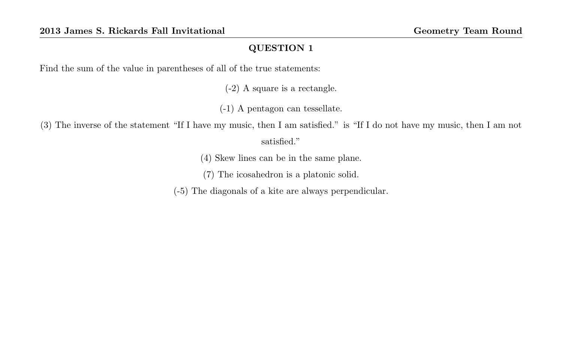Find the sum of the value in parentheses of all of the true statements:

(-2) A square is a rectangle.

(-1) A pentagon can tessellate.

(3) The inverse of the statement "If I have my music, then I am satisfied." is "If I do not have my music, then I am not satisfied."

(4) Skew lines can be in the same plane.

(7) The icosahedron is a platonic solid.

(-5) The diagonals of a kite are always perpendicular.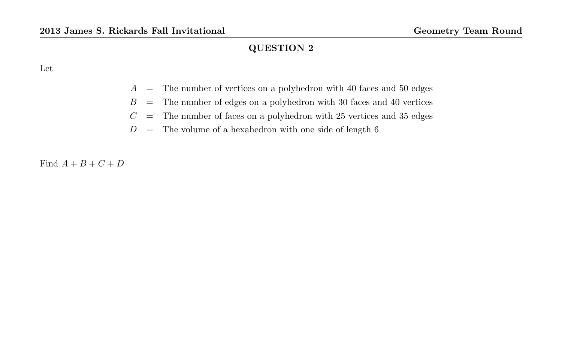Let

- $A =$ The number of vertices on a polyhedron with 40 faces and 50 edges
- $B =$  The number of edges on a polyhedron with 30 faces and 40 vertices
- $C =$  The number of faces on a polyhedron with 25 vertices and 35 edges
- $D =$ The volume of a hexahedron with one side of length 6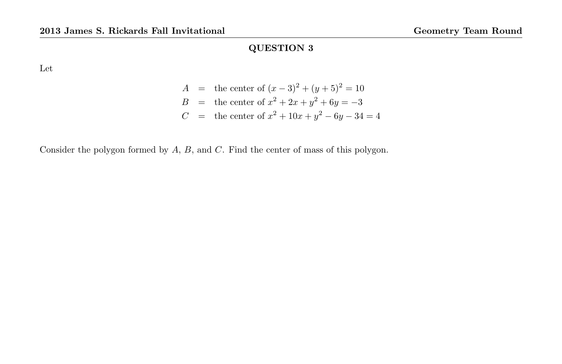Let

$$
A = \text{the center of } (x-3)^2 + (y+5)^2 = 10
$$
  
\n
$$
B = \text{the center of } x^2 + 2x + y^2 + 6y = -3
$$
  
\n
$$
C = \text{the center of } x^2 + 10x + y^2 - 6y - 34 = 4
$$

Consider the polygon formed by A, B, and C. Find the center of mass of this polygon.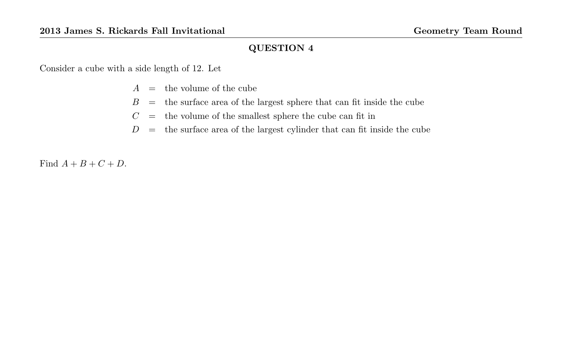Consider a cube with a side length of 12. Let

- $A =$  the volume of the cube
- $B =$  the surface area of the largest sphere that can fit inside the cube
- $C =$  the volume of the smallest sphere the cube can fit in
- $D =$  the surface area of the largest cylinder that can fit inside the cube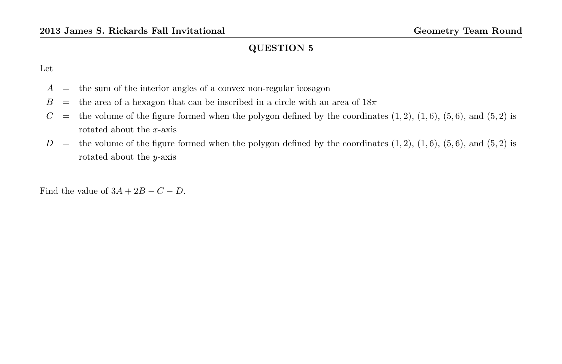Let

- $A =$  the sum of the interior angles of a convex non-regular icosagon
- $B =$  the area of a hexagon that can be inscribed in a circle with an area of  $18\pi$
- $C =$  the volume of the figure formed when the polygon defined by the coordinates  $(1, 2)$ ,  $(1, 6)$ ,  $(5, 6)$ , and  $(5, 2)$  is rotated about the x-axis
- $D =$  the volume of the figure formed when the polygon defined by the coordinates  $(1, 2)$ ,  $(1, 6)$ ,  $(5, 6)$ , and  $(5, 2)$  is rotated about the  $y$ -axis

Find the value of  $3A + 2B - C - D$ .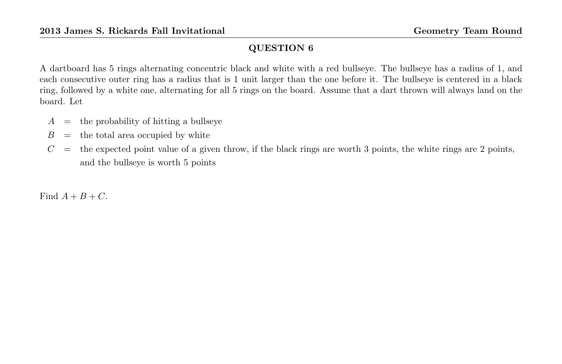A dartboard has 5 rings alternating concentric black and white with a red bullseye. The bullseye has a radius of 1, and each consecutive outer ring has a radius that is 1 unit larger than the one before it. The bullseye is centered in a black ring, followed by a white one, alternating for all 5 rings on the board. Assume that a dart thrown will always land on the board. Let

- $A =$  the probability of hitting a bullseye
- $B =$  the total area occupied by white
- $C =$  the expected point value of a given throw, if the black rings are worth 3 points, the white rings are 2 points, and the bullseye is worth 5 points

Find  $A + B + C$ .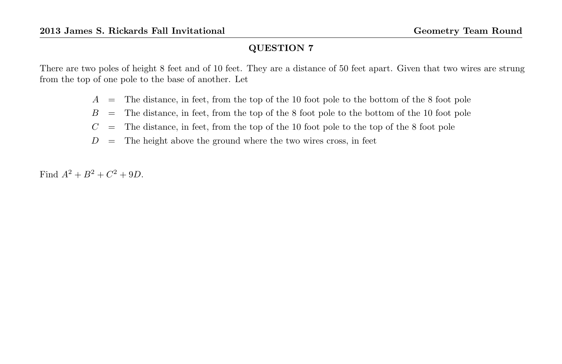There are two poles of height 8 feet and of 10 feet. They are a distance of 50 feet apart. Given that two wires are strung from the top of one pole to the base of another. Let

- $A =$ The distance, in feet, from the top of the 10 foot pole to the bottom of the 8 foot pole
- $B =$ The distance, in feet, from the top of the 8 foot pole to the bottom of the 10 foot pole
- $C =$  The distance, in feet, from the top of the 10 foot pole to the top of the 8 foot pole
- $D =$  The height above the ground where the two wires cross, in feet

Find  $A^2 + B^2 + C^2 + 9D$ .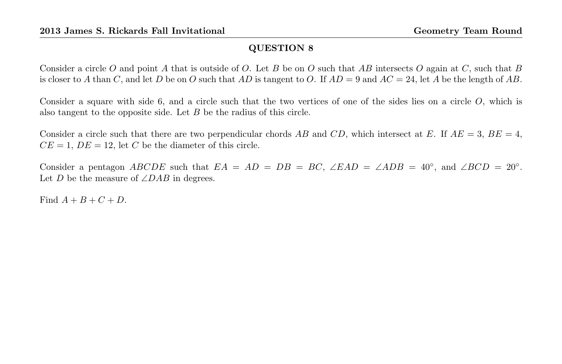Consider a circle O and point A that is outside of O. Let B be on O such that AB intersects O again at C, such that B is closer to A than C, and let D be on O such that AD is tangent to O. If  $AD = 9$  and  $AC = 24$ , let A be the length of AB.

Consider a square with side 6, and a circle such that the two vertices of one of the sides lies on a circle O, which is also tangent to the opposite side. Let B be the radius of this circle.

Consider a circle such that there are two perpendicular chords AB and CD, which intersect at E. If  $AE = 3$ ,  $BE = 4$ ,  $CE = 1$ ,  $DE = 12$ , let C be the diameter of this circle.

Consider a pentagon ABCDE such that  $EA = AD = DB = BC$ ,  $\angle EAD = \angle ADB = 40^\circ$ , and  $\angle BCD = 20^\circ$ . Let D be the measure of  $\angle DAB$  in degrees.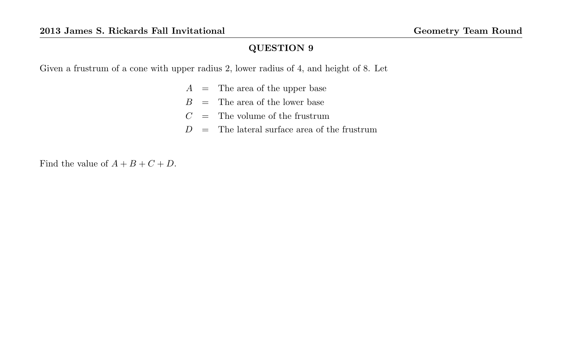Given a frustrum of a cone with upper radius 2, lower radius of 4, and height of 8. Let

- $A =$ The area of the upper base
- $B =$ The area of the lower base
- $C =$  The volume of the frustrum
- $D =$ The lateral surface area of the frustrum

Find the value of  $A + B + C + D$ .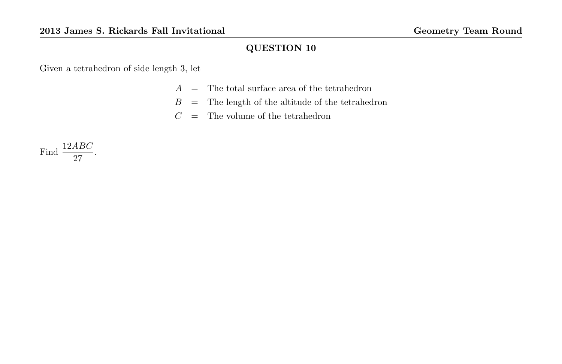Given a tetrahedron of side length 3, let

- $A =$ The total surface area of the tetrahedron
- $B =$ The length of the altitude of the tetrahedron
- $C =$  The volume of the tetrahedron

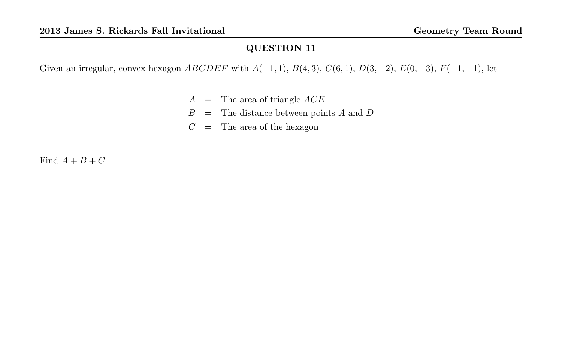Given an irregular, convex hexagon  $ABCDEF$  with  $A(-1, 1), B(4, 3), C(6, 1), D(3, -2), E(0, -3), F(-1, -1),$  let

- $A =$ The area of triangle  $ACE$
- $B =$  The distance between points A and D
- $C =$  The area of the hexagon

Find  $A + B + C$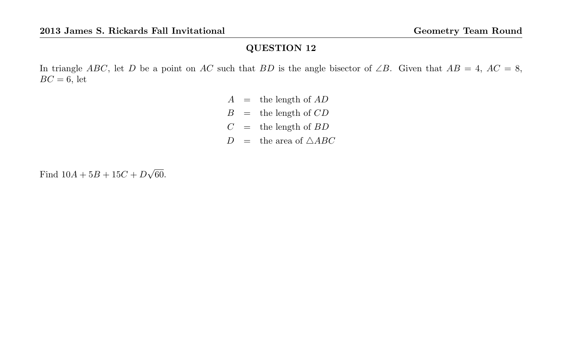In triangle ABC, let D be a point on AC such that BD is the angle bisector of ∠B. Given that  $AB = 4$ ,  $AC = 8$ ,  $BC = 6$ , let

> $A =$  the length of  $AD$  $B =$  the length of  $CD$  $C =$  the length of  $BD$  $D =$  the area of  $\triangle ABC$

Find  $10A + 5B + 15C + D$ √ 60.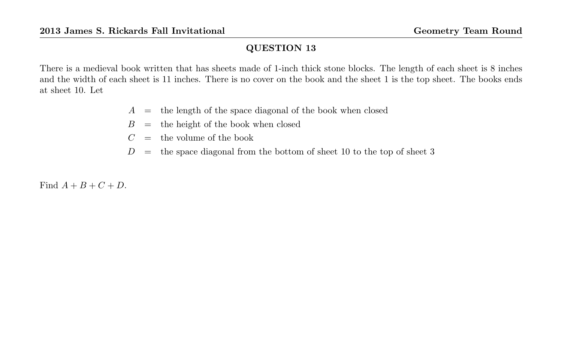There is a medieval book written that has sheets made of 1-inch thick stone blocks. The length of each sheet is 8 inches and the width of each sheet is 11 inches. There is no cover on the book and the sheet 1 is the top sheet. The books ends at sheet 10. Let

- $A =$  the length of the space diagonal of the book when closed
- $B =$  the height of the book when closed
- $C =$  the volume of the book
- $D =$  the space diagonal from the bottom of sheet 10 to the top of sheet 3